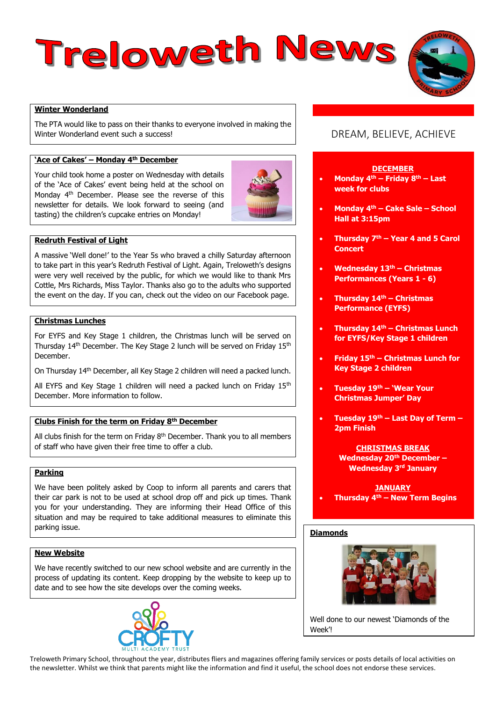# Treloweth News

## **Winter Wonderland**

The PTA would like to pass on their thanks to everyone involved in making the Winter Wonderland event such a success!

# **'Ace of Cakes' – Monday 4th December**

Your child took home a poster on Wednesday with details of the 'Ace of Cakes' event being held at the school on Monday 4th December. Please see the reverse of this newsletter for details. We look forward to seeing (and tasting) the children's cupcake entries on Monday!



## **Redruth Festival of Light**

A massive 'Well done!' to the Year 5s who braved a chilly Saturday afternoon to take part in this year's Redruth Festival of Light. Again, Treloweth's designs were very well received by the public, for which we would like to thank Mrs Cottle, Mrs Richards, Miss Taylor. Thanks also go to the adults who supported the event on the day. If you can, check out the video on our Facebook page.

## **Christmas Lunches**

For EYFS and Key Stage 1 children, the Christmas lunch will be served on Thursday 14th December. The Key Stage 2 lunch will be served on Friday 15th December.

On Thursday 14th December, all Key Stage 2 children will need a packed lunch.

All EYFS and Key Stage 1 children will need a packed lunch on Friday 15<sup>th</sup> December. More information to follow.

## **Clubs Finish for the term on Friday 8th December**

All clubs finish for the term on Friday  $8<sup>th</sup>$  December. Thank you to all members of staff who have given their free time to offer a club.

## **Parking**

We have been politely asked by Coop to inform all parents and carers that their car park is not to be used at school drop off and pick up times. Thank you for your understanding. They are informing their Head Office of this situation and may be required to take additional measures to eliminate this parking issue.

# **New Website**

We have recently switched to our new school website and are currently in the process of updating its content. Keep dropping by the website to keep up to date and to see how the site develops over the coming weeks.



# DREAM, BELIEVE, ACHIEVE

## **DECEMBER**

- **Monday 4th – Friday 8th – Last week for clubs**
- **Monday 4th – Cake Sale – School Hall at 3:15pm**
- **Thursday 7th – Year 4 and 5 Carol Concert**
- **Wednesday 13th – Christmas Performances (Years 1 - 6)**
- **Thursday 14th – Christmas Performance (EYFS)**
- **Thursday 14th – Christmas Lunch for EYFS/Key Stage 1 children**
- **Friday 15th – Christmas Lunch for Key Stage 2 children**
- **Tuesday 19th – 'Wear Your Christmas Jumper' Day**
- **Tuesday 19th – Last Day of Term – 2pm Finish**

## **CHRISTMAS BREAK Wednesday 20th December – Wednesday 3rd January**

**JANUARY Thursday 4th – New Term Begins** 

## **Diamonds**



Well done to our newest 'Diamonds of the Week'!

Treloweth Primary School, throughout the year, distributes fliers and magazines offering family services or posts details of local activities on the newsletter. Whilst we think that parents might like the information and find it useful, the school does not endorse these services.